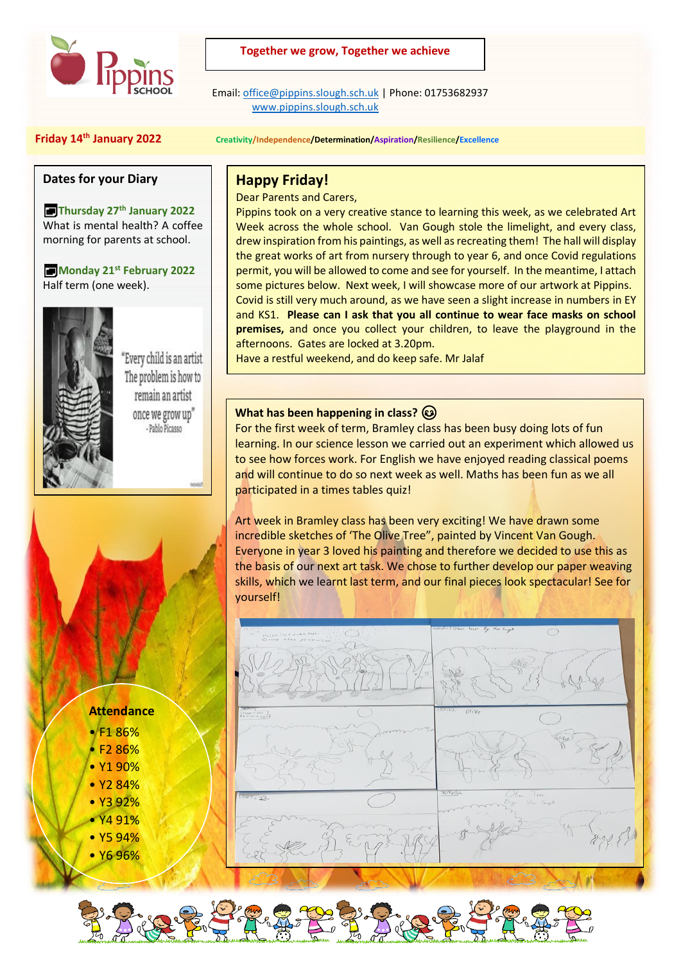

## **Together we grow, Together we achieve**

 Email[: office@pippins.slough.sch.uk](mailto:office@pippins.slough.sch.uk) | Phone: 01753682937 [www.pippins.slough.sch.uk](http://www.pippins.slough.sch.uk/)

#### **Friday 14th January 2022 Creativity/Independence/Determination/Aspiration/Resilience/Excellence**

#### **Dates for your Diary**

**Thursday 27th January 2022** What is mental health? A coffee morning for parents at school.

**Monday 21st February 2022** Half term (one week).



Every child is an artist The problem is how to remain an artist once we grow up" - Pablo Picasso

# **Happy Friday!**

Dear Parents and Carers,

Pippins took on a very creative stance to learning this week, as we celebrated Art Week across the whole school. Van Gough stole the limelight, and every class, drew inspiration from his paintings, as well as recreating them! The hall will display the great works of art from nursery through to year 6, and once Covid regulations permit, you will be allowed to come and see for yourself. In the meantime, I attach some pictures below. Next week, I will showcase more of our artwork at Pippins. Covid is still very much around, as we have seen a slight increase in numbers in EY and KS1. **Please can I ask that you all continue to wear face masks on school premises,** and once you collect your children, to leave the playground in the afternoons. Gates are locked at 3.20pm.

Have a restful weekend, and do keep safe. Mr Jalaf

## **What has been happening in class?**

For the first week of term, Bramley class has been busy doing lots of fun learning. In our science lesson we carried out an experiment which allowed us to see how forces work. For English we have enjoyed reading classical poems and will continue to do so next week as well. Maths has been fun as we all participated in a times tables quiz!

Art week in Bramley class has been very exciting! We have drawn some incredible sketches of 'The Olive Tree", painted by Vincent Van Gough. Everyone in year 3 loved his painting and therefore we decided to use this as the basis of our next art task. We chose to further develop our paper weaving skills, which we learnt last term, and our final pieces look spectacular! See for yourself!



#### **Attendance**

- F1 86%
- $E286%$
- Y1 90%
- Y2 84%
- Y3 92% • Y4 91%
- Y5 94%
- Y6 96%